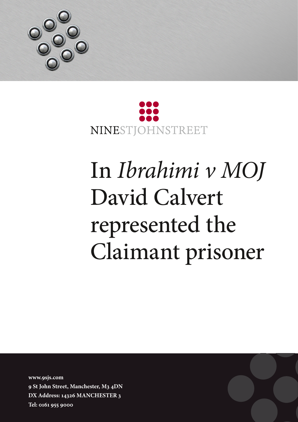



## In *Ibrahimi v MOJ* David Calvert represented the Claimant prisoner

**www.9sjs.com 9 St John Street, Manchester, M3 4DN DX Address: 14326 MANCHESTER 3 Tel: 0161 955 9000**